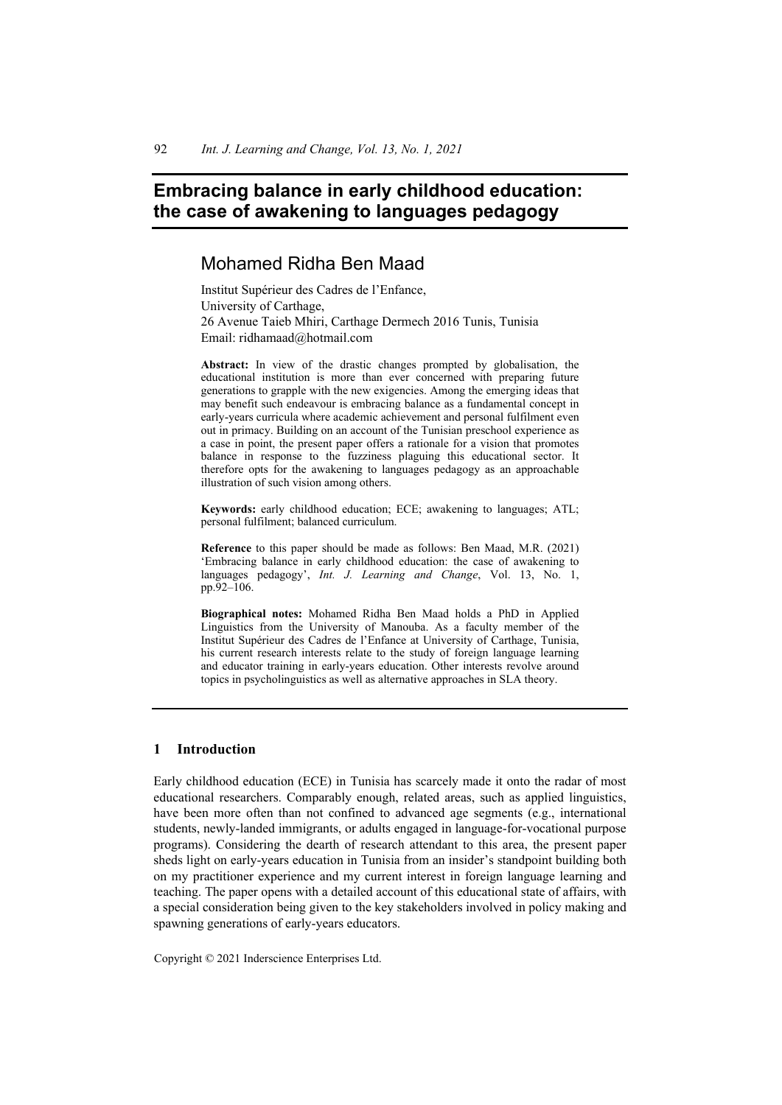# **Embracing balance in early childhood education: the case of awakening to languages pedagogy**

# Mohamed Ridha Ben Maad

Institut Supérieur des Cadres de l'Enfance, University of Carthage, 26 Avenue Taieb Mhiri, Carthage Dermech 2016 Tunis, Tunisia Email: ridhamaad@hotmail.com

**Abstract:** In view of the drastic changes prompted by globalisation, the educational institution is more than ever concerned with preparing future generations to grapple with the new exigencies. Among the emerging ideas that may benefit such endeavour is embracing balance as a fundamental concept in early-years curricula where academic achievement and personal fulfilment even out in primacy. Building on an account of the Tunisian preschool experience as a case in point, the present paper offers a rationale for a vision that promotes balance in response to the fuzziness plaguing this educational sector. It therefore opts for the awakening to languages pedagogy as an approachable illustration of such vision among others.

**Keywords:** early childhood education; ECE; awakening to languages; ATL; personal fulfilment; balanced curriculum.

**Reference** to this paper should be made as follows: Ben Maad, M.R. (2021) 'Embracing balance in early childhood education: the case of awakening to languages pedagogy', *Int. J. Learning and Change*, Vol. 13, No. 1, pp.92–106.

**Biographical notes:** Mohamed Ridha Ben Maad holds a PhD in Applied Linguistics from the University of Manouba. As a faculty member of the Institut Supérieur des Cadres de l'Enfance at University of Carthage, Tunisia, his current research interests relate to the study of foreign language learning and educator training in early-years education. Other interests revolve around topics in psycholinguistics as well as alternative approaches in SLA theory.

# **1 Introduction**

Early childhood education (ECE) in Tunisia has scarcely made it onto the radar of most educational researchers. Comparably enough, related areas, such as applied linguistics, have been more often than not confined to advanced age segments (e.g., international students, newly-landed immigrants, or adults engaged in language-for-vocational purpose programs). Considering the dearth of research attendant to this area, the present paper sheds light on early-years education in Tunisia from an insider's standpoint building both on my practitioner experience and my current interest in foreign language learning and teaching. The paper opens with a detailed account of this educational state of affairs, with a special consideration being given to the key stakeholders involved in policy making and spawning generations of early-years educators.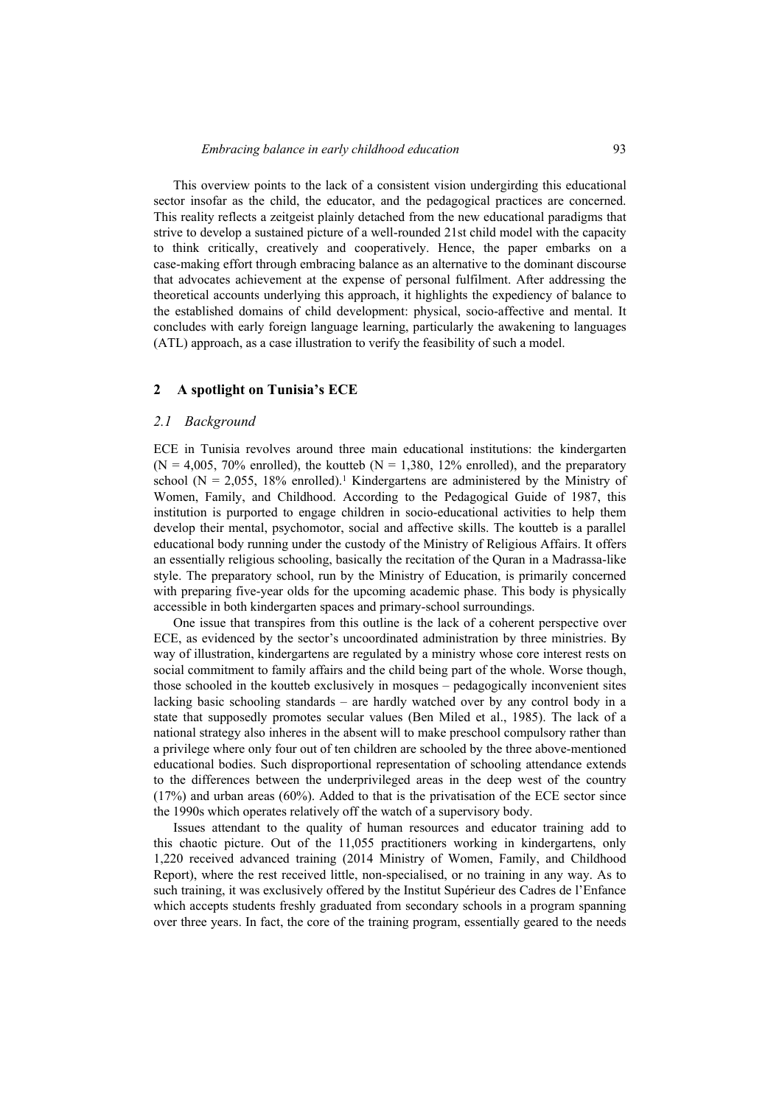This overview points to the lack of a consistent vision undergirding this educational sector insofar as the child, the educator, and the pedagogical practices are concerned. This reality reflects a zeitgeist plainly detached from the new educational paradigms that strive to develop a sustained picture of a well-rounded 21st child model with the capacity to think critically, creatively and cooperatively. Hence, the paper embarks on a case-making effort through embracing balance as an alternative to the dominant discourse that advocates achievement at the expense of personal fulfilment. After addressing the theoretical accounts underlying this approach, it highlights the expediency of balance to the established domains of child development: physical, socio-affective and mental. It concludes with early foreign language learning, particularly the awakening to languages (ATL) approach, as a case illustration to verify the feasibility of such a model.

#### **2 A spotlight on Tunisia's ECE**

#### *2.1 Background*

ECE in Tunisia revolves around three main educational institutions: the kindergarten  $(N = 4,005, 70\%$  enrolled), the koutteb  $(N = 1,380, 12\%$  enrolled), and the preparatory school ( $N = 2,055, 18\%$  enrolled).<sup>1</sup> Kindergartens are administered by the Ministry of Women, Family, and Childhood. According to the Pedagogical Guide of 1987, this institution is purported to engage children in socio-educational activities to help them develop their mental, psychomotor, social and affective skills. The koutteb is a parallel educational body running under the custody of the Ministry of Religious Affairs. It offers an essentially religious schooling, basically the recitation of the Quran in a Madrassa-like style. The preparatory school, run by the Ministry of Education, is primarily concerned with preparing five-year olds for the upcoming academic phase. This body is physically accessible in both kindergarten spaces and primary-school surroundings.

One issue that transpires from this outline is the lack of a coherent perspective over ECE, as evidenced by the sector's uncoordinated administration by three ministries. By way of illustration, kindergartens are regulated by a ministry whose core interest rests on social commitment to family affairs and the child being part of the whole. Worse though, those schooled in the koutteb exclusively in mosques – pedagogically inconvenient sites lacking basic schooling standards – are hardly watched over by any control body in a state that supposedly promotes secular values (Ben Miled et al., 1985). The lack of a national strategy also inheres in the absent will to make preschool compulsory rather than a privilege where only four out of ten children are schooled by the three above-mentioned educational bodies. Such disproportional representation of schooling attendance extends to the differences between the underprivileged areas in the deep west of the country (17%) and urban areas (60%). Added to that is the privatisation of the ECE sector since the 1990s which operates relatively off the watch of a supervisory body.

Issues attendant to the quality of human resources and educator training add to this chaotic picture. Out of the 11,055 practitioners working in kindergartens, only 1,220 received advanced training (2014 Ministry of Women, Family, and Childhood Report), where the rest received little, non-specialised, or no training in any way. As to such training, it was exclusively offered by the Institut Supérieur des Cadres de l'Enfance which accepts students freshly graduated from secondary schools in a program spanning over three years. In fact, the core of the training program, essentially geared to the needs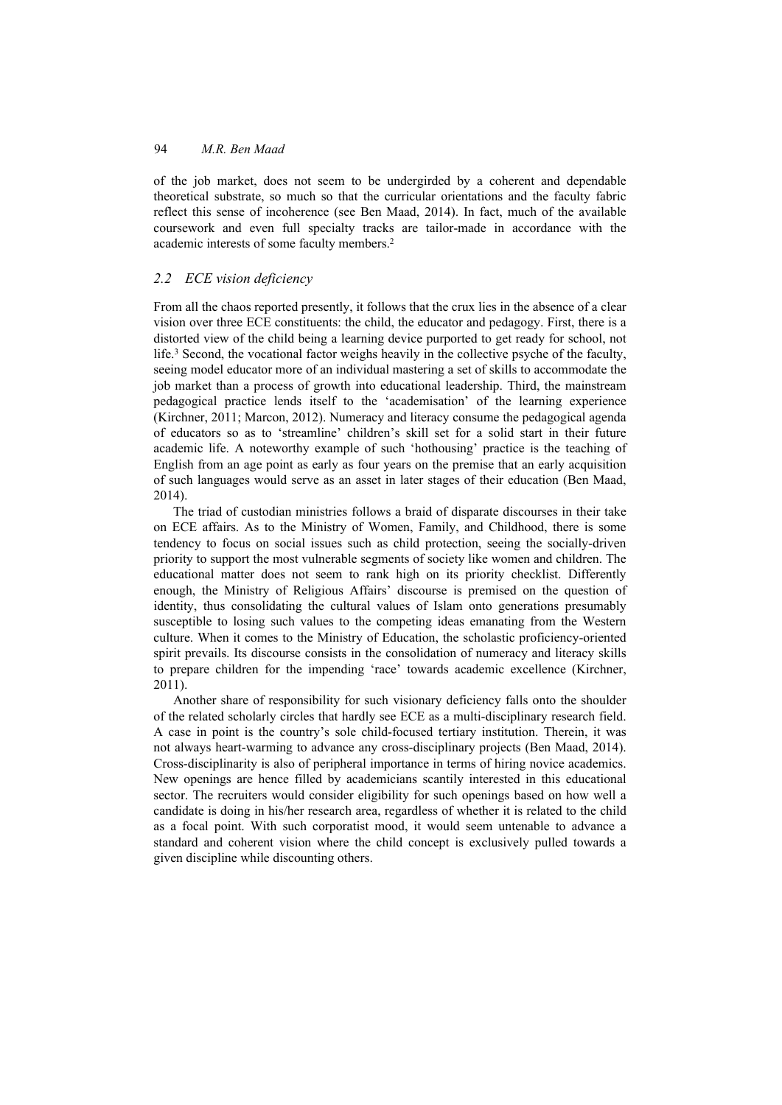of the job market, does not seem to be undergirded by a coherent and dependable theoretical substrate, so much so that the curricular orientations and the faculty fabric reflect this sense of incoherence (see Ben Maad, 2014). In fact, much of the available coursework and even full specialty tracks are tailor-made in accordance with the academic interests of some faculty members.2

# *2.2 ECE vision deficiency*

From all the chaos reported presently, it follows that the crux lies in the absence of a clear vision over three ECE constituents: the child, the educator and pedagogy. First, there is a distorted view of the child being a learning device purported to get ready for school, not life.3 Second, the vocational factor weighs heavily in the collective psyche of the faculty, seeing model educator more of an individual mastering a set of skills to accommodate the job market than a process of growth into educational leadership. Third, the mainstream pedagogical practice lends itself to the 'academisation' of the learning experience (Kirchner, 2011; Marcon, 2012). Numeracy and literacy consume the pedagogical agenda of educators so as to 'streamline' children's skill set for a solid start in their future academic life. A noteworthy example of such 'hothousing' practice is the teaching of English from an age point as early as four years on the premise that an early acquisition of such languages would serve as an asset in later stages of their education (Ben Maad, 2014).

The triad of custodian ministries follows a braid of disparate discourses in their take on ECE affairs. As to the Ministry of Women, Family, and Childhood, there is some tendency to focus on social issues such as child protection, seeing the socially-driven priority to support the most vulnerable segments of society like women and children. The educational matter does not seem to rank high on its priority checklist. Differently enough, the Ministry of Religious Affairs' discourse is premised on the question of identity, thus consolidating the cultural values of Islam onto generations presumably susceptible to losing such values to the competing ideas emanating from the Western culture. When it comes to the Ministry of Education, the scholastic proficiency-oriented spirit prevails. Its discourse consists in the consolidation of numeracy and literacy skills to prepare children for the impending 'race' towards academic excellence (Kirchner, 2011).

Another share of responsibility for such visionary deficiency falls onto the shoulder of the related scholarly circles that hardly see ECE as a multi-disciplinary research field. A case in point is the country's sole child-focused tertiary institution. Therein, it was not always heart-warming to advance any cross-disciplinary projects (Ben Maad, 2014). Cross-disciplinarity is also of peripheral importance in terms of hiring novice academics. New openings are hence filled by academicians scantily interested in this educational sector. The recruiters would consider eligibility for such openings based on how well a candidate is doing in his/her research area, regardless of whether it is related to the child as a focal point. With such corporatist mood, it would seem untenable to advance a standard and coherent vision where the child concept is exclusively pulled towards a given discipline while discounting others.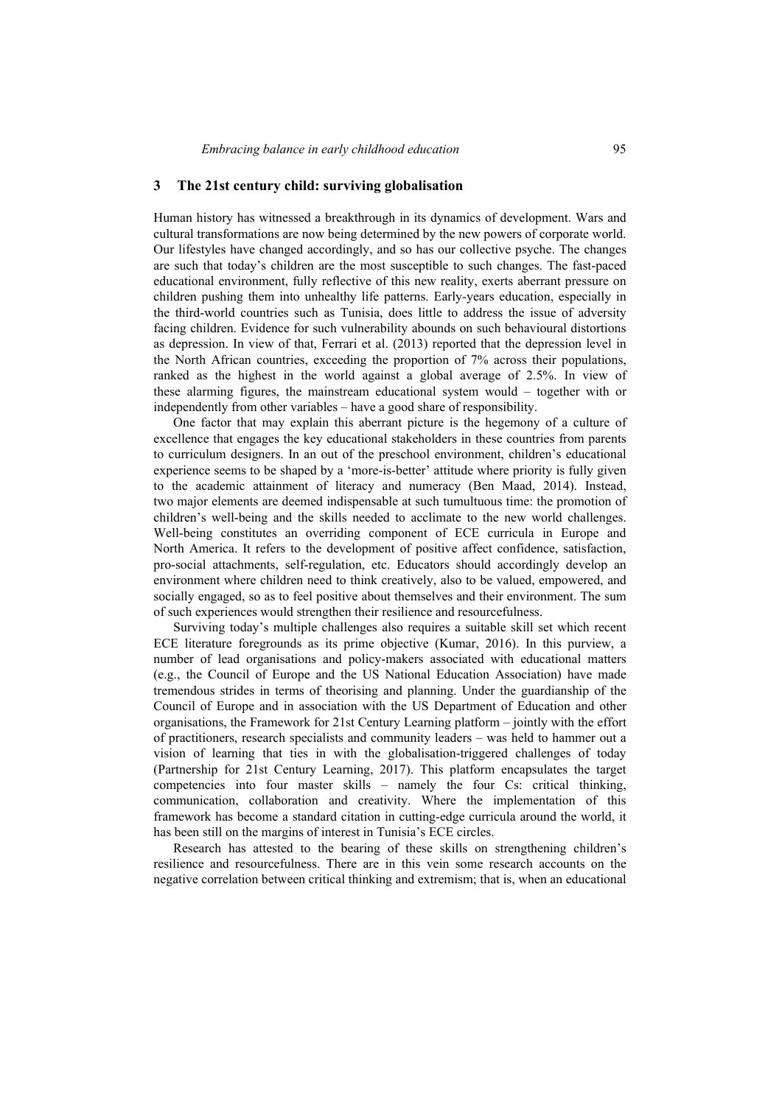### **3 The 21st century child: surviving globalisation**

Human history has witnessed a breakthrough in its dynamics of development. Wars and cultural transformations are now being determined by the new powers of corporate world. Our lifestyles have changed accordingly, and so has our collective psyche. The changes are such that today's children are the most susceptible to such changes. The fast-paced educational environment, fully reflective of this new reality, exerts aberrant pressure on children pushing them into unhealthy life patterns. Early-years education, especially in the third-world countries such as Tunisia, does little to address the issue of adversity facing children. Evidence for such vulnerability abounds on such behavioural distortions as depression. In view of that, Ferrari et al. (2013) reported that the depression level in the North African countries, exceeding the proportion of 7% across their populations, ranked as the highest in the world against a global average of 2.5%. In view of these alarming figures, the mainstream educational system would – together with or independently from other variables – have a good share of responsibility.

One factor that may explain this aberrant picture is the hegemony of a culture of excellence that engages the key educational stakeholders in these countries from parents to curriculum designers. In an out of the preschool environment, children's educational experience seems to be shaped by a 'more-is-better' attitude where priority is fully given to the academic attainment of literacy and numeracy (Ben Maad, 2014). Instead, two major elements are deemed indispensable at such tumultuous time: the promotion of children's well-being and the skills needed to acclimate to the new world challenges. Well-being constitutes an overriding component of ECE curricula in Europe and North America. It refers to the development of positive affect confidence, satisfaction, pro-social attachments, self-regulation, etc. Educators should accordingly develop an environment where children need to think creatively, also to be valued, empowered, and socially engaged, so as to feel positive about themselves and their environment. The sum of such experiences would strengthen their resilience and resourcefulness.

Surviving today's multiple challenges also requires a suitable skill set which recent ECE literature foregrounds as its prime objective (Kumar, 2016). In this purview, a number of lead organisations and policy-makers associated with educational matters (e.g., the Council of Europe and the US National Education Association) have made tremendous strides in terms of theorising and planning. Under the guardianship of the Council of Europe and in association with the US Department of Education and other organisations, the Framework for 21st Century Learning platform – jointly with the effort of practitioners, research specialists and community leaders – was held to hammer out a vision of learning that ties in with the globalisation-triggered challenges of today (Partnership for 21st Century Learning, 2017). This platform encapsulates the target competencies into four master skills – namely the four Cs: critical thinking, communication, collaboration and creativity. Where the implementation of this framework has become a standard citation in cutting-edge curricula around the world, it has been still on the margins of interest in Tunisia's ECE circles.

Research has attested to the bearing of these skills on strengthening children's resilience and resourcefulness. There are in this vein some research accounts on the negative correlation between critical thinking and extremism; that is, when an educational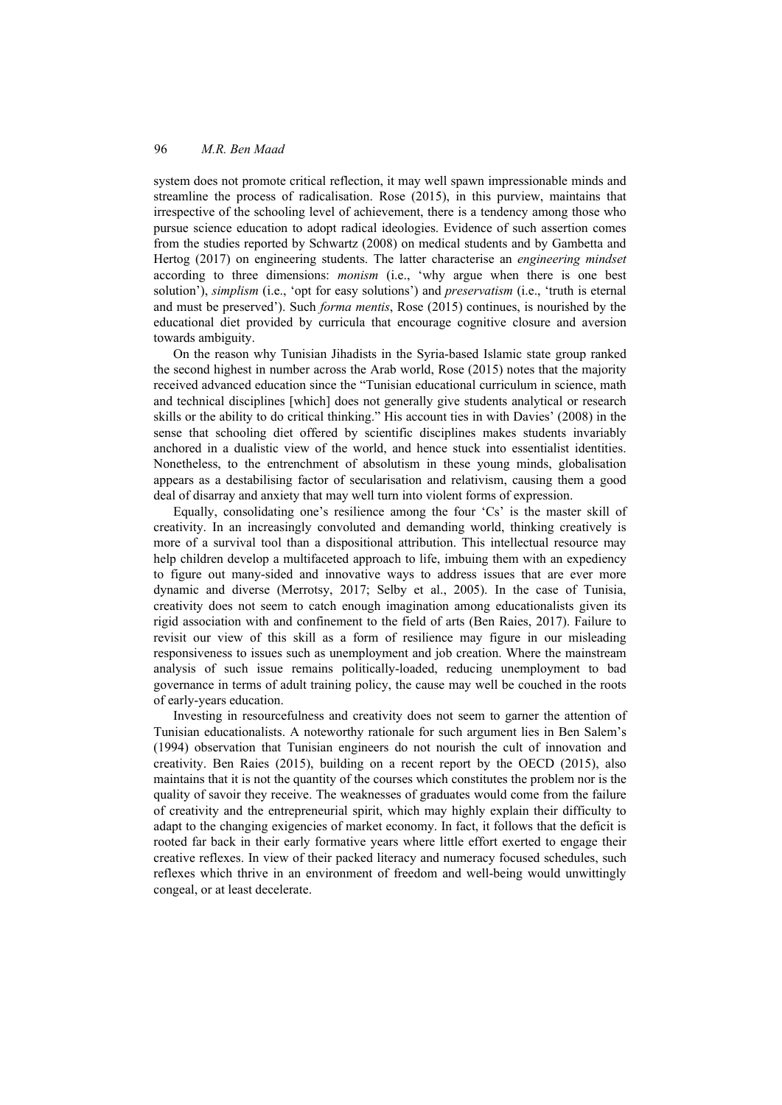system does not promote critical reflection, it may well spawn impressionable minds and streamline the process of radicalisation. Rose (2015), in this purview, maintains that irrespective of the schooling level of achievement, there is a tendency among those who pursue science education to adopt radical ideologies. Evidence of such assertion comes from the studies reported by Schwartz (2008) on medical students and by Gambetta and Hertog (2017) on engineering students. The latter characterise an *engineering mindset* according to three dimensions: *monism* (i.e., 'why argue when there is one best solution'), *simplism* (i.e., 'opt for easy solutions') and *preservatism* (i.e., 'truth is eternal and must be preserved'). Such *forma mentis*, Rose (2015) continues, is nourished by the educational diet provided by curricula that encourage cognitive closure and aversion towards ambiguity.

On the reason why Tunisian Jihadists in the Syria-based Islamic state group ranked the second highest in number across the Arab world, Rose (2015) notes that the majority received advanced education since the "Tunisian educational curriculum in science, math and technical disciplines [which] does not generally give students analytical or research skills or the ability to do critical thinking." His account ties in with Davies' (2008) in the sense that schooling diet offered by scientific disciplines makes students invariably anchored in a dualistic view of the world, and hence stuck into essentialist identities. Nonetheless, to the entrenchment of absolutism in these young minds, globalisation appears as a destabilising factor of secularisation and relativism, causing them a good deal of disarray and anxiety that may well turn into violent forms of expression.

Equally, consolidating one's resilience among the four 'Cs' is the master skill of creativity. In an increasingly convoluted and demanding world, thinking creatively is more of a survival tool than a dispositional attribution. This intellectual resource may help children develop a multifaceted approach to life, imbuing them with an expediency to figure out many-sided and innovative ways to address issues that are ever more dynamic and diverse (Merrotsy, 2017; Selby et al., 2005). In the case of Tunisia, creativity does not seem to catch enough imagination among educationalists given its rigid association with and confinement to the field of arts (Ben Raies, 2017). Failure to revisit our view of this skill as a form of resilience may figure in our misleading responsiveness to issues such as unemployment and job creation. Where the mainstream analysis of such issue remains politically-loaded, reducing unemployment to bad governance in terms of adult training policy, the cause may well be couched in the roots of early-years education.

Investing in resourcefulness and creativity does not seem to garner the attention of Tunisian educationalists. A noteworthy rationale for such argument lies in Ben Salem's (1994) observation that Tunisian engineers do not nourish the cult of innovation and creativity. Ben Raies (2015), building on a recent report by the OECD (2015), also maintains that it is not the quantity of the courses which constitutes the problem nor is the quality of savoir they receive. The weaknesses of graduates would come from the failure of creativity and the entrepreneurial spirit, which may highly explain their difficulty to adapt to the changing exigencies of market economy. In fact, it follows that the deficit is rooted far back in their early formative years where little effort exerted to engage their creative reflexes. In view of their packed literacy and numeracy focused schedules, such reflexes which thrive in an environment of freedom and well-being would unwittingly congeal, or at least decelerate.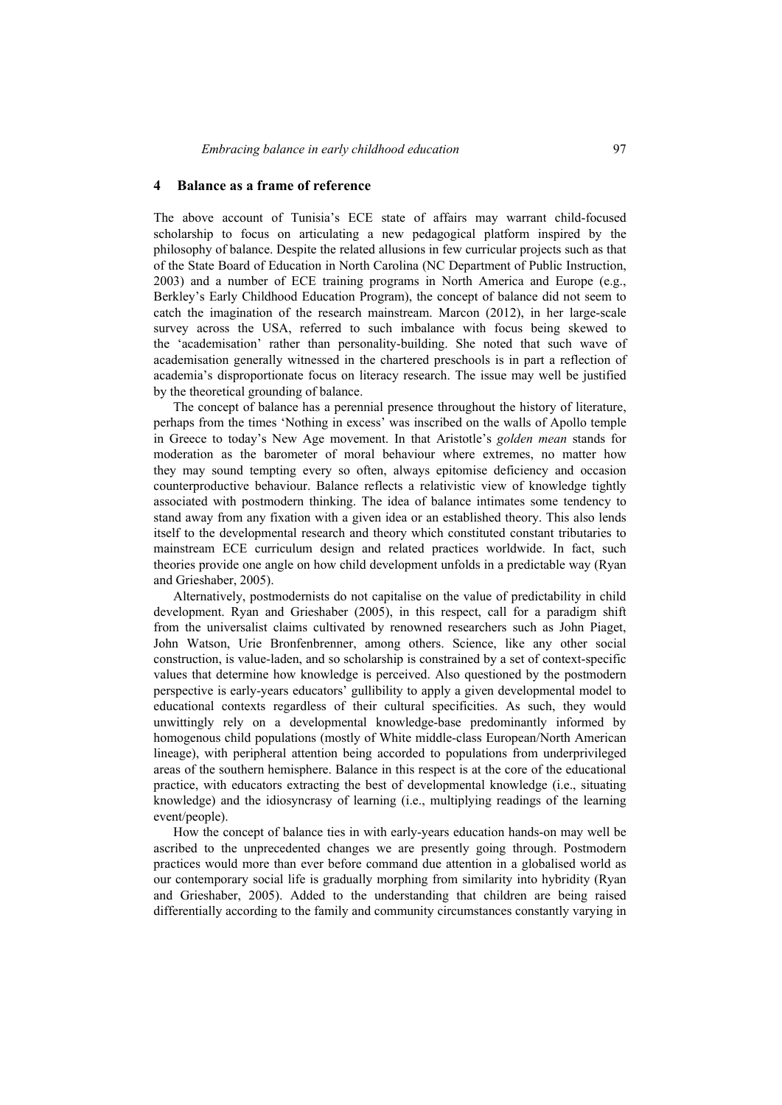# **4 Balance as a frame of reference**

The above account of Tunisia's ECE state of affairs may warrant child-focused scholarship to focus on articulating a new pedagogical platform inspired by the philosophy of balance. Despite the related allusions in few curricular projects such as that of the State Board of Education in North Carolina (NC Department of Public Instruction, 2003) and a number of ECE training programs in North America and Europe (e.g., Berkley's Early Childhood Education Program), the concept of balance did not seem to catch the imagination of the research mainstream. Marcon (2012), in her large-scale survey across the USA, referred to such imbalance with focus being skewed to the 'academisation' rather than personality-building. She noted that such wave of academisation generally witnessed in the chartered preschools is in part a reflection of academia's disproportionate focus on literacy research. The issue may well be justified by the theoretical grounding of balance.

The concept of balance has a perennial presence throughout the history of literature, perhaps from the times 'Nothing in excess' was inscribed on the walls of Apollo temple in Greece to today's New Age movement. In that Aristotle's *golden mean* stands for moderation as the barometer of moral behaviour where extremes, no matter how they may sound tempting every so often, always epitomise deficiency and occasion counterproductive behaviour. Balance reflects a relativistic view of knowledge tightly associated with postmodern thinking. The idea of balance intimates some tendency to stand away from any fixation with a given idea or an established theory. This also lends itself to the developmental research and theory which constituted constant tributaries to mainstream ECE curriculum design and related practices worldwide. In fact, such theories provide one angle on how child development unfolds in a predictable way (Ryan and Grieshaber, 2005).

Alternatively, postmodernists do not capitalise on the value of predictability in child development. Ryan and Grieshaber (2005), in this respect, call for a paradigm shift from the universalist claims cultivated by renowned researchers such as John Piaget, John Watson, Urie Bronfenbrenner, among others. Science, like any other social construction, is value-laden, and so scholarship is constrained by a set of context-specific values that determine how knowledge is perceived. Also questioned by the postmodern perspective is early-years educators' gullibility to apply a given developmental model to educational contexts regardless of their cultural specificities. As such, they would unwittingly rely on a developmental knowledge-base predominantly informed by homogenous child populations (mostly of White middle-class European/North American lineage), with peripheral attention being accorded to populations from underprivileged areas of the southern hemisphere. Balance in this respect is at the core of the educational practice, with educators extracting the best of developmental knowledge (i.e., situating knowledge) and the idiosyncrasy of learning (i.e., multiplying readings of the learning event/people).

How the concept of balance ties in with early-years education hands-on may well be ascribed to the unprecedented changes we are presently going through. Postmodern practices would more than ever before command due attention in a globalised world as our contemporary social life is gradually morphing from similarity into hybridity (Ryan and Grieshaber, 2005). Added to the understanding that children are being raised differentially according to the family and community circumstances constantly varying in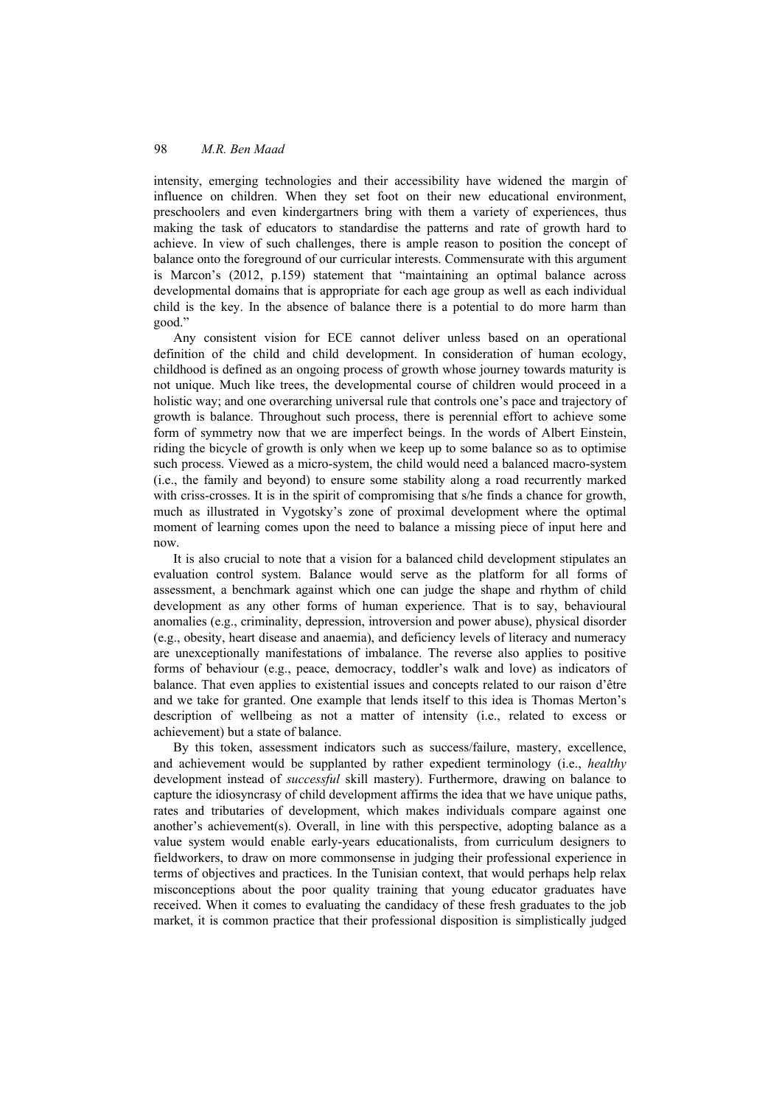intensity, emerging technologies and their accessibility have widened the margin of influence on children. When they set foot on their new educational environment, preschoolers and even kindergartners bring with them a variety of experiences, thus making the task of educators to standardise the patterns and rate of growth hard to achieve. In view of such challenges, there is ample reason to position the concept of balance onto the foreground of our curricular interests. Commensurate with this argument is Marcon's (2012, p.159) statement that "maintaining an optimal balance across developmental domains that is appropriate for each age group as well as each individual child is the key. In the absence of balance there is a potential to do more harm than good."

Any consistent vision for ECE cannot deliver unless based on an operational definition of the child and child development. In consideration of human ecology, childhood is defined as an ongoing process of growth whose journey towards maturity is not unique. Much like trees, the developmental course of children would proceed in a holistic way; and one overarching universal rule that controls one's pace and trajectory of growth is balance. Throughout such process, there is perennial effort to achieve some form of symmetry now that we are imperfect beings. In the words of Albert Einstein, riding the bicycle of growth is only when we keep up to some balance so as to optimise such process. Viewed as a micro-system, the child would need a balanced macro-system (i.e., the family and beyond) to ensure some stability along a road recurrently marked with criss-crosses. It is in the spirit of compromising that s/he finds a chance for growth, much as illustrated in Vygotsky's zone of proximal development where the optimal moment of learning comes upon the need to balance a missing piece of input here and now.

It is also crucial to note that a vision for a balanced child development stipulates an evaluation control system. Balance would serve as the platform for all forms of assessment, a benchmark against which one can judge the shape and rhythm of child development as any other forms of human experience. That is to say, behavioural anomalies (e.g., criminality, depression, introversion and power abuse), physical disorder (e.g., obesity, heart disease and anaemia), and deficiency levels of literacy and numeracy are unexceptionally manifestations of imbalance. The reverse also applies to positive forms of behaviour (e.g., peace, democracy, toddler's walk and love) as indicators of balance. That even applies to existential issues and concepts related to our raison d'être and we take for granted. One example that lends itself to this idea is Thomas Merton's description of wellbeing as not a matter of intensity (i.e., related to excess or achievement) but a state of balance.

By this token, assessment indicators such as success/failure, mastery, excellence, and achievement would be supplanted by rather expedient terminology (i.e., *healthy* development instead of *successful* skill mastery). Furthermore, drawing on balance to capture the idiosyncrasy of child development affirms the idea that we have unique paths, rates and tributaries of development, which makes individuals compare against one another's achievement(s). Overall, in line with this perspective, adopting balance as a value system would enable early-years educationalists, from curriculum designers to fieldworkers, to draw on more commonsense in judging their professional experience in terms of objectives and practices. In the Tunisian context, that would perhaps help relax misconceptions about the poor quality training that young educator graduates have received. When it comes to evaluating the candidacy of these fresh graduates to the job market, it is common practice that their professional disposition is simplistically judged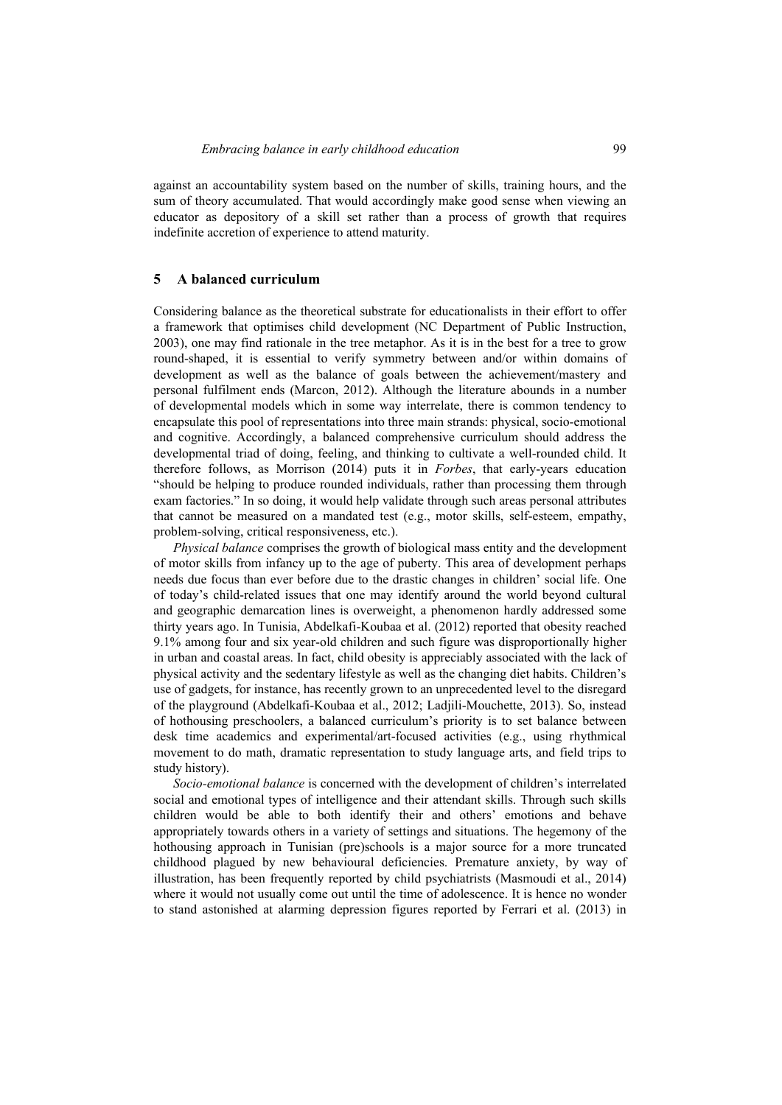against an accountability system based on the number of skills, training hours, and the sum of theory accumulated. That would accordingly make good sense when viewing an educator as depository of a skill set rather than a process of growth that requires indefinite accretion of experience to attend maturity.

## **5 A balanced curriculum**

Considering balance as the theoretical substrate for educationalists in their effort to offer a framework that optimises child development (NC Department of Public Instruction, 2003), one may find rationale in the tree metaphor. As it is in the best for a tree to grow round-shaped, it is essential to verify symmetry between and/or within domains of development as well as the balance of goals between the achievement/mastery and personal fulfilment ends (Marcon, 2012). Although the literature abounds in a number of developmental models which in some way interrelate, there is common tendency to encapsulate this pool of representations into three main strands: physical, socio-emotional and cognitive. Accordingly, a balanced comprehensive curriculum should address the developmental triad of doing, feeling, and thinking to cultivate a well-rounded child. It therefore follows, as Morrison (2014) puts it in *Forbes*, that early-years education "should be helping to produce rounded individuals, rather than processing them through exam factories." In so doing, it would help validate through such areas personal attributes that cannot be measured on a mandated test (e.g., motor skills, self-esteem, empathy, problem-solving, critical responsiveness, etc.).

*Physical balance* comprises the growth of biological mass entity and the development of motor skills from infancy up to the age of puberty. This area of development perhaps needs due focus than ever before due to the drastic changes in children' social life. One of today's child-related issues that one may identify around the world beyond cultural and geographic demarcation lines is overweight, a phenomenon hardly addressed some thirty years ago. In Tunisia, Abdelkafi-Koubaa et al. (2012) reported that obesity reached 9.1% among four and six year-old children and such figure was disproportionally higher in urban and coastal areas. In fact, child obesity is appreciably associated with the lack of physical activity and the sedentary lifestyle as well as the changing diet habits. Children's use of gadgets, for instance, has recently grown to an unprecedented level to the disregard of the playground (Abdelkafi-Koubaa et al., 2012; Ladjili-Mouchette, 2013). So, instead of hothousing preschoolers, a balanced curriculum's priority is to set balance between desk time academics and experimental/art-focused activities (e.g., using rhythmical movement to do math, dramatic representation to study language arts, and field trips to study history).

*Socio-emotional balance* is concerned with the development of children's interrelated social and emotional types of intelligence and their attendant skills. Through such skills children would be able to both identify their and others' emotions and behave appropriately towards others in a variety of settings and situations. The hegemony of the hothousing approach in Tunisian (pre)schools is a major source for a more truncated childhood plagued by new behavioural deficiencies. Premature anxiety, by way of illustration, has been frequently reported by child psychiatrists (Masmoudi et al., 2014) where it would not usually come out until the time of adolescence. It is hence no wonder to stand astonished at alarming depression figures reported by Ferrari et al. (2013) in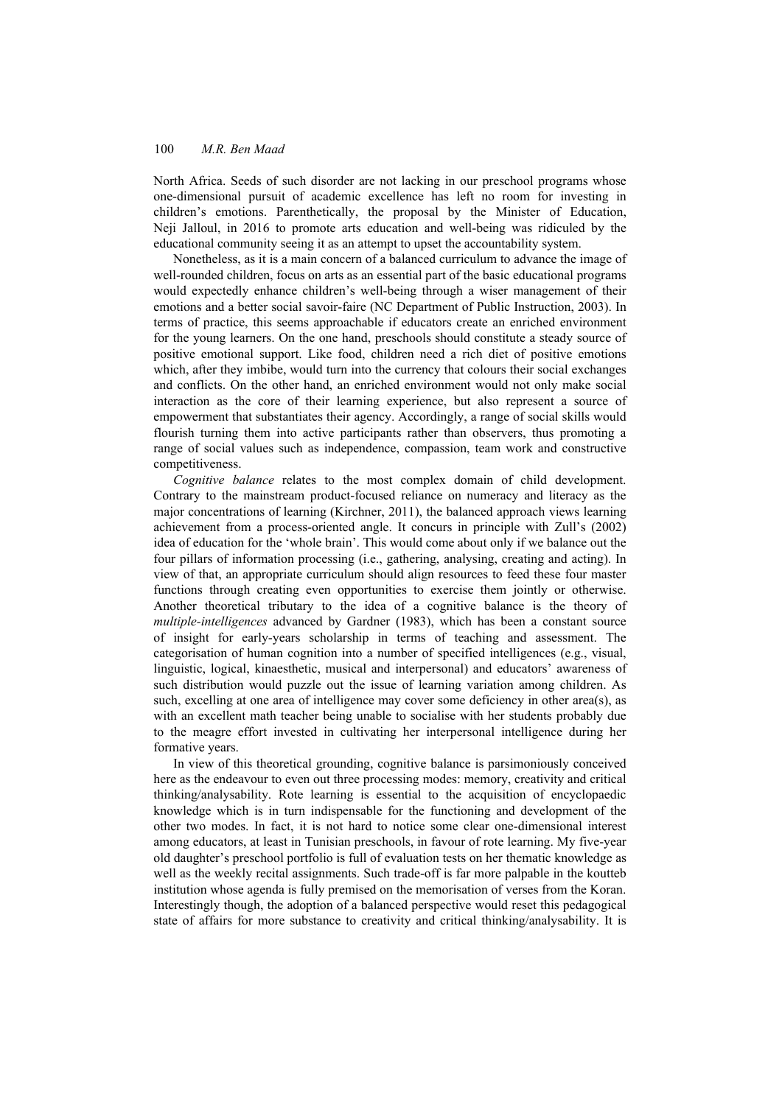North Africa. Seeds of such disorder are not lacking in our preschool programs whose one-dimensional pursuit of academic excellence has left no room for investing in children's emotions. Parenthetically, the proposal by the Minister of Education, Neji Jalloul, in 2016 to promote arts education and well-being was ridiculed by the educational community seeing it as an attempt to upset the accountability system.

Nonetheless, as it is a main concern of a balanced curriculum to advance the image of well-rounded children, focus on arts as an essential part of the basic educational programs would expectedly enhance children's well-being through a wiser management of their emotions and a better social savoir-faire (NC Department of Public Instruction, 2003). In terms of practice, this seems approachable if educators create an enriched environment for the young learners. On the one hand, preschools should constitute a steady source of positive emotional support. Like food, children need a rich diet of positive emotions which, after they imbibe, would turn into the currency that colours their social exchanges and conflicts. On the other hand, an enriched environment would not only make social interaction as the core of their learning experience, but also represent a source of empowerment that substantiates their agency. Accordingly, a range of social skills would flourish turning them into active participants rather than observers, thus promoting a range of social values such as independence, compassion, team work and constructive competitiveness.

*Cognitive balance* relates to the most complex domain of child development. Contrary to the mainstream product-focused reliance on numeracy and literacy as the major concentrations of learning (Kirchner, 2011), the balanced approach views learning achievement from a process-oriented angle. It concurs in principle with Zull's (2002) idea of education for the 'whole brain'. This would come about only if we balance out the four pillars of information processing (i.e., gathering, analysing, creating and acting). In view of that, an appropriate curriculum should align resources to feed these four master functions through creating even opportunities to exercise them jointly or otherwise. Another theoretical tributary to the idea of a cognitive balance is the theory of *multiple-intelligences* advanced by Gardner (1983), which has been a constant source of insight for early-years scholarship in terms of teaching and assessment. The categorisation of human cognition into a number of specified intelligences (e.g., visual, linguistic, logical, kinaesthetic, musical and interpersonal) and educators' awareness of such distribution would puzzle out the issue of learning variation among children. As such, excelling at one area of intelligence may cover some deficiency in other area(s), as with an excellent math teacher being unable to socialise with her students probably due to the meagre effort invested in cultivating her interpersonal intelligence during her formative years.

In view of this theoretical grounding, cognitive balance is parsimoniously conceived here as the endeavour to even out three processing modes: memory, creativity and critical thinking/analysability. Rote learning is essential to the acquisition of encyclopaedic knowledge which is in turn indispensable for the functioning and development of the other two modes. In fact, it is not hard to notice some clear one-dimensional interest among educators, at least in Tunisian preschools, in favour of rote learning. My five-year old daughter's preschool portfolio is full of evaluation tests on her thematic knowledge as well as the weekly recital assignments. Such trade-off is far more palpable in the koutteb institution whose agenda is fully premised on the memorisation of verses from the Koran. Interestingly though, the adoption of a balanced perspective would reset this pedagogical state of affairs for more substance to creativity and critical thinking/analysability. It is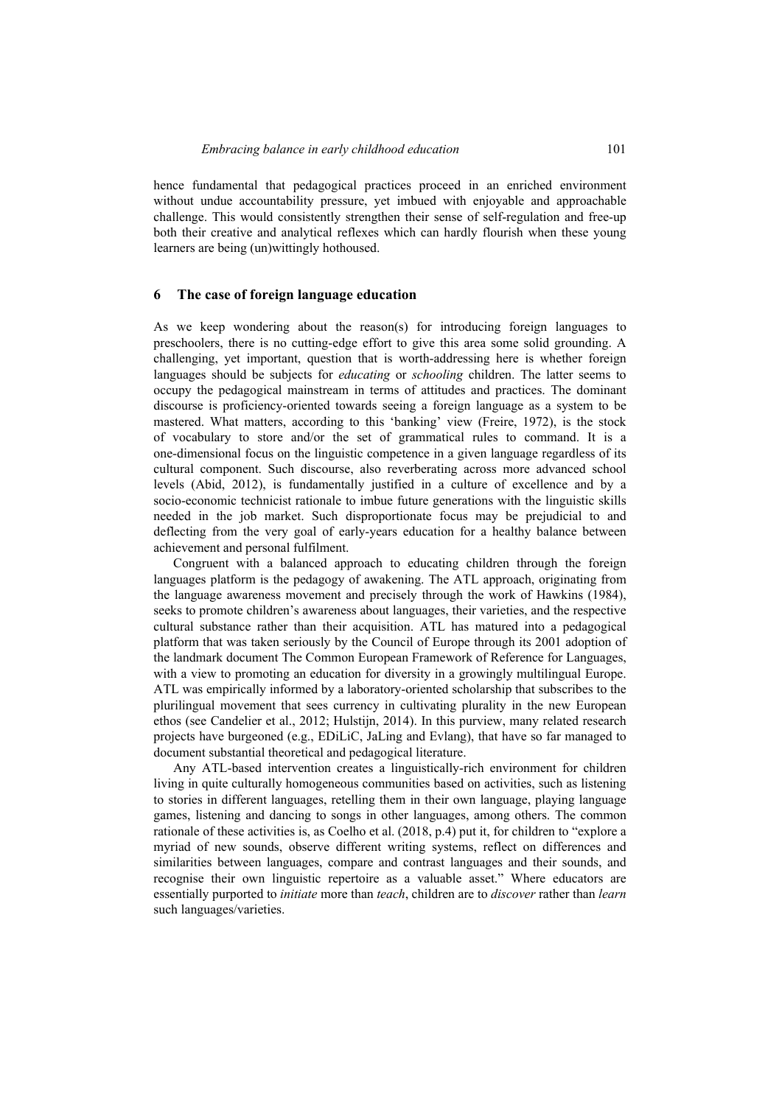hence fundamental that pedagogical practices proceed in an enriched environment without undue accountability pressure, yet imbued with enjoyable and approachable challenge. This would consistently strengthen their sense of self-regulation and free-up both their creative and analytical reflexes which can hardly flourish when these young learners are being (un)wittingly hothoused.

## **6 The case of foreign language education**

As we keep wondering about the reason(s) for introducing foreign languages to preschoolers, there is no cutting-edge effort to give this area some solid grounding. A challenging, yet important, question that is worth-addressing here is whether foreign languages should be subjects for *educating* or *schooling* children. The latter seems to occupy the pedagogical mainstream in terms of attitudes and practices. The dominant discourse is proficiency-oriented towards seeing a foreign language as a system to be mastered. What matters, according to this 'banking' view (Freire, 1972), is the stock of vocabulary to store and/or the set of grammatical rules to command. It is a one-dimensional focus on the linguistic competence in a given language regardless of its cultural component. Such discourse, also reverberating across more advanced school levels (Abid, 2012), is fundamentally justified in a culture of excellence and by a socio-economic technicist rationale to imbue future generations with the linguistic skills needed in the job market. Such disproportionate focus may be prejudicial to and deflecting from the very goal of early-years education for a healthy balance between achievement and personal fulfilment.

Congruent with a balanced approach to educating children through the foreign languages platform is the pedagogy of awakening. The ATL approach, originating from the language awareness movement and precisely through the work of Hawkins (1984), seeks to promote children's awareness about languages, their varieties, and the respective cultural substance rather than their acquisition. ATL has matured into a pedagogical platform that was taken seriously by the Council of Europe through its 2001 adoption of the landmark document The Common European Framework of Reference for Languages, with a view to promoting an education for diversity in a growingly multilingual Europe. ATL was empirically informed by a laboratory-oriented scholarship that subscribes to the plurilingual movement that sees currency in cultivating plurality in the new European ethos (see Candelier et al., 2012; Hulstijn, 2014). In this purview, many related research projects have burgeoned (e.g., EDiLiC, JaLing and Evlang), that have so far managed to document substantial theoretical and pedagogical literature.

Any ATL-based intervention creates a linguistically-rich environment for children living in quite culturally homogeneous communities based on activities, such as listening to stories in different languages, retelling them in their own language, playing language games, listening and dancing to songs in other languages, among others. The common rationale of these activities is, as Coelho et al. (2018, p.4) put it, for children to "explore a myriad of new sounds, observe different writing systems, reflect on differences and similarities between languages, compare and contrast languages and their sounds, and recognise their own linguistic repertoire as a valuable asset." Where educators are essentially purported to *initiate* more than *teach*, children are to *discover* rather than *learn* such languages/varieties.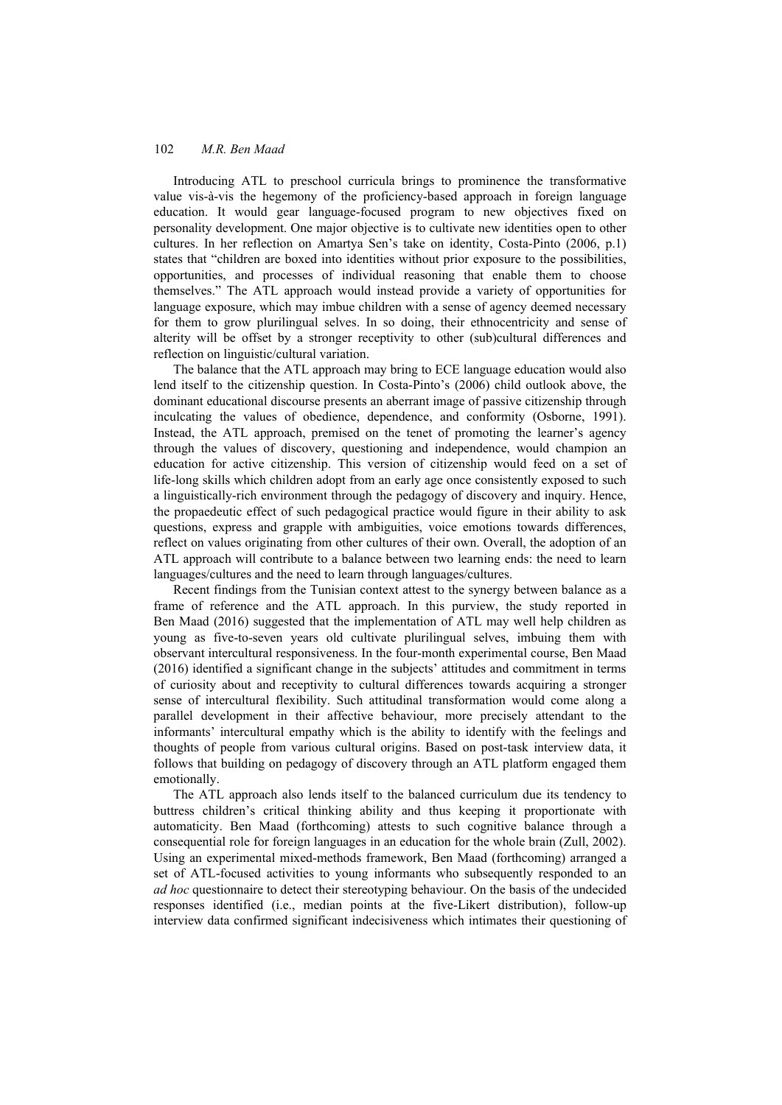Introducing ATL to preschool curricula brings to prominence the transformative value vis-à-vis the hegemony of the proficiency-based approach in foreign language education. It would gear language-focused program to new objectives fixed on personality development. One major objective is to cultivate new identities open to other cultures. In her reflection on Amartya Sen's take on identity, Costa-Pinto (2006, p.1) states that "children are boxed into identities without prior exposure to the possibilities, opportunities, and processes of individual reasoning that enable them to choose themselves." The ATL approach would instead provide a variety of opportunities for language exposure, which may imbue children with a sense of agency deemed necessary for them to grow plurilingual selves. In so doing, their ethnocentricity and sense of alterity will be offset by a stronger receptivity to other (sub)cultural differences and reflection on linguistic/cultural variation.

The balance that the ATL approach may bring to ECE language education would also lend itself to the citizenship question. In Costa-Pinto's (2006) child outlook above, the dominant educational discourse presents an aberrant image of passive citizenship through inculcating the values of obedience, dependence, and conformity (Osborne, 1991). Instead, the ATL approach, premised on the tenet of promoting the learner's agency through the values of discovery, questioning and independence, would champion an education for active citizenship. This version of citizenship would feed on a set of life-long skills which children adopt from an early age once consistently exposed to such a linguistically-rich environment through the pedagogy of discovery and inquiry. Hence, the propaedeutic effect of such pedagogical practice would figure in their ability to ask questions, express and grapple with ambiguities, voice emotions towards differences, reflect on values originating from other cultures of their own. Overall, the adoption of an ATL approach will contribute to a balance between two learning ends: the need to learn languages/cultures and the need to learn through languages/cultures.

Recent findings from the Tunisian context attest to the synergy between balance as a frame of reference and the ATL approach. In this purview, the study reported in Ben Maad (2016) suggested that the implementation of ATL may well help children as young as five-to-seven years old cultivate plurilingual selves, imbuing them with observant intercultural responsiveness. In the four-month experimental course, Ben Maad (2016) identified a significant change in the subjects' attitudes and commitment in terms of curiosity about and receptivity to cultural differences towards acquiring a stronger sense of intercultural flexibility. Such attitudinal transformation would come along a parallel development in their affective behaviour, more precisely attendant to the informants' intercultural empathy which is the ability to identify with the feelings and thoughts of people from various cultural origins. Based on post-task interview data, it follows that building on pedagogy of discovery through an ATL platform engaged them emotionally.

The ATL approach also lends itself to the balanced curriculum due its tendency to buttress children's critical thinking ability and thus keeping it proportionate with automaticity. Ben Maad (forthcoming) attests to such cognitive balance through a consequential role for foreign languages in an education for the whole brain (Zull, 2002). Using an experimental mixed-methods framework, Ben Maad (forthcoming) arranged a set of ATL-focused activities to young informants who subsequently responded to an *ad hoc* questionnaire to detect their stereotyping behaviour. On the basis of the undecided responses identified (i.e., median points at the five-Likert distribution), follow-up interview data confirmed significant indecisiveness which intimates their questioning of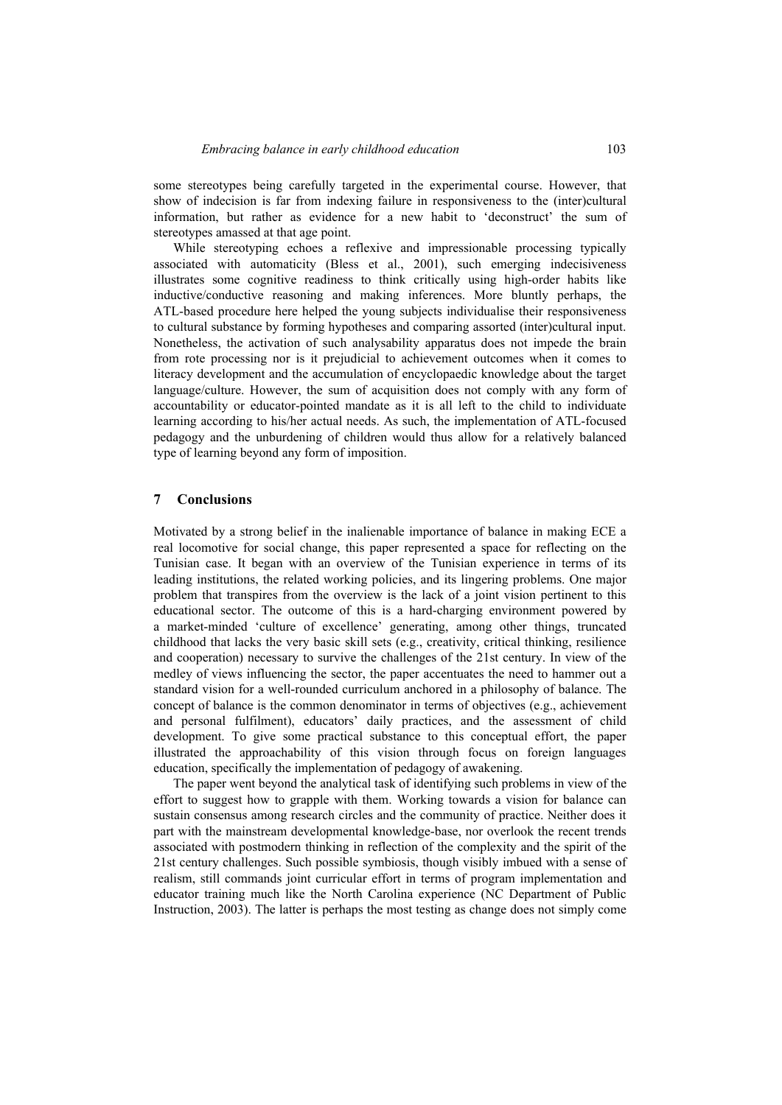some stereotypes being carefully targeted in the experimental course. However, that show of indecision is far from indexing failure in responsiveness to the (inter)cultural information, but rather as evidence for a new habit to 'deconstruct' the sum of stereotypes amassed at that age point.

While stereotyping echoes a reflexive and impressionable processing typically associated with automaticity (Bless et al., 2001), such emerging indecisiveness illustrates some cognitive readiness to think critically using high-order habits like inductive/conductive reasoning and making inferences. More bluntly perhaps, the ATL-based procedure here helped the young subjects individualise their responsiveness to cultural substance by forming hypotheses and comparing assorted (inter)cultural input. Nonetheless, the activation of such analysability apparatus does not impede the brain from rote processing nor is it prejudicial to achievement outcomes when it comes to literacy development and the accumulation of encyclopaedic knowledge about the target language/culture. However, the sum of acquisition does not comply with any form of accountability or educator-pointed mandate as it is all left to the child to individuate learning according to his/her actual needs. As such, the implementation of ATL-focused pedagogy and the unburdening of children would thus allow for a relatively balanced type of learning beyond any form of imposition.

### **7 Conclusions**

Motivated by a strong belief in the inalienable importance of balance in making ECE a real locomotive for social change, this paper represented a space for reflecting on the Tunisian case. It began with an overview of the Tunisian experience in terms of its leading institutions, the related working policies, and its lingering problems. One major problem that transpires from the overview is the lack of a joint vision pertinent to this educational sector. The outcome of this is a hard-charging environment powered by a market-minded 'culture of excellence' generating, among other things, truncated childhood that lacks the very basic skill sets (e.g., creativity, critical thinking, resilience and cooperation) necessary to survive the challenges of the 21st century. In view of the medley of views influencing the sector, the paper accentuates the need to hammer out a standard vision for a well-rounded curriculum anchored in a philosophy of balance. The concept of balance is the common denominator in terms of objectives (e.g., achievement and personal fulfilment), educators' daily practices, and the assessment of child development. To give some practical substance to this conceptual effort, the paper illustrated the approachability of this vision through focus on foreign languages education, specifically the implementation of pedagogy of awakening.

The paper went beyond the analytical task of identifying such problems in view of the effort to suggest how to grapple with them. Working towards a vision for balance can sustain consensus among research circles and the community of practice. Neither does it part with the mainstream developmental knowledge-base, nor overlook the recent trends associated with postmodern thinking in reflection of the complexity and the spirit of the 21st century challenges. Such possible symbiosis, though visibly imbued with a sense of realism, still commands joint curricular effort in terms of program implementation and educator training much like the North Carolina experience (NC Department of Public Instruction, 2003). The latter is perhaps the most testing as change does not simply come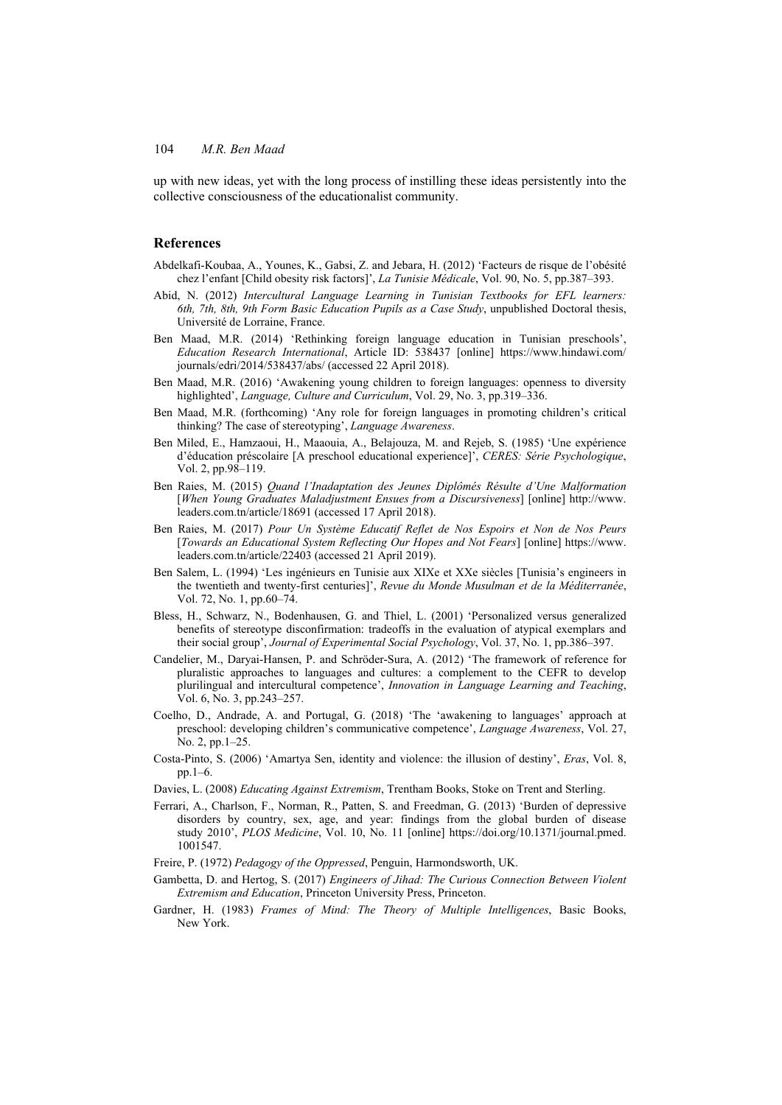up with new ideas, yet with the long process of instilling these ideas persistently into the collective consciousness of the educationalist community.

## **References**

- Abdelkafi-Koubaa, A., Younes, K., Gabsi, Z. and Jebara, H. (2012) 'Facteurs de risque de l'obésité chez l'enfant [Child obesity risk factors]', *La Tunisie Médicale*, Vol. 90, No. 5, pp.387–393.
- Abid, N. (2012) *Intercultural Language Learning in Tunisian Textbooks for EFL learners: 6th, 7th, 8th, 9th Form Basic Education Pupils as a Case Study*, unpublished Doctoral thesis, Université de Lorraine, France.
- Ben Maad, M.R. (2014) 'Rethinking foreign language education in Tunisian preschools', *Education Research International*, Article ID: 538437 [online] https://www.hindawi.com/ journals/edri/2014/538437/abs/ (accessed 22 April 2018).
- Ben Maad, M.R. (2016) 'Awakening young children to foreign languages: openness to diversity highlighted', *Language, Culture and Curriculum*, Vol. 29, No. 3, pp.319–336.
- Ben Maad, M.R. (forthcoming) 'Any role for foreign languages in promoting children's critical thinking? The case of stereotyping', *Language Awareness*.
- Ben Miled, E., Hamzaoui, H., Maaouia, A., Belajouza, M. and Rejeb, S. (1985) 'Une expérience d'éducation préscolaire [A preschool educational experience]', *CERES: Série Psychologique*, Vol. 2, pp.98–119.
- Ben Raies, M. (2015) *Quand l'Inadaptation des Jeunes Diplômés Résulte d'Une Malformation*  [*When Young Graduates Maladjustment Ensues from a Discursiveness*] [online] http://www. leaders.com.tn/article/18691 (accessed 17 April 2018).
- Ben Raies, M. (2017) *Pour Un Système Educatif Reflet de Nos Espoirs et Non de Nos Peurs*  [*Towards an Educational System Reflecting Our Hopes and Not Fears*] [online] https://www. leaders.com.tn/article/22403 (accessed 21 April 2019).
- Ben Salem, L. (1994) 'Les ingénieurs en Tunisie aux XIXe et XXe siècles [Tunisia's engineers in the twentieth and twenty-first centuries]', *Revue du Monde Musulman et de la Méditerranée*, Vol. 72, No. 1, pp.60–74.
- Bless, H., Schwarz, N., Bodenhausen, G. and Thiel, L. (2001) 'Personalized versus generalized benefits of stereotype disconfirmation: tradeoffs in the evaluation of atypical exemplars and their social group', *Journal of Experimental Social Psychology*, Vol. 37, No. 1, pp.386–397.
- Candelier, M., Daryai-Hansen, P. and Schröder-Sura, A. (2012) 'The framework of reference for pluralistic approaches to languages and cultures: a complement to the CEFR to develop plurilingual and intercultural competence', *Innovation in Language Learning and Teaching*, Vol. 6, No. 3, pp.243–257.
- Coelho, D., Andrade, A. and Portugal, G. (2018) 'The 'awakening to languages' approach at preschool: developing children's communicative competence', *Language Awareness*, Vol. 27, No. 2, pp.1–25.
- Costa-Pinto, S. (2006) 'Amartya Sen, identity and violence: the illusion of destiny', *Eras*, Vol. 8, pp.1–6.
- Davies, L. (2008) *Educating Against Extremism*, Trentham Books, Stoke on Trent and Sterling.
- Ferrari, A., Charlson, F., Norman, R., Patten, S. and Freedman, G. (2013) 'Burden of depressive disorders by country, sex, age, and year: findings from the global burden of disease study 2010', *PLOS Medicine*, Vol. 10, No. 11 [online] https://doi.org/10.1371/journal.pmed. 1001547.
- Freire, P. (1972) *Pedagogy of the Oppressed*, Penguin, Harmondsworth, UK.
- Gambetta, D. and Hertog, S. (2017) *Engineers of Jihad: The Curious Connection Between Violent Extremism and Education*, Princeton University Press, Princeton.
- Gardner, H. (1983) *Frames of Mind: The Theory of Multiple Intelligences*, Basic Books, New York.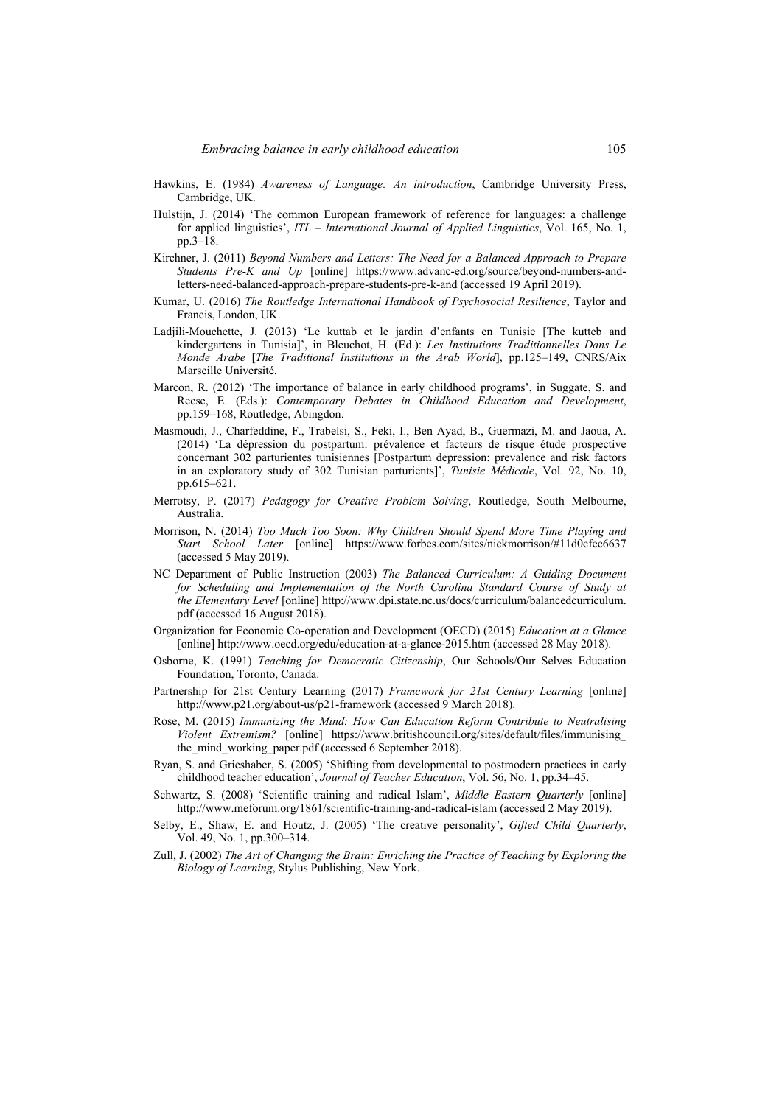- Hawkins, E. (1984) *Awareness of Language: An introduction*, Cambridge University Press, Cambridge, UK.
- Hulstijn, J. (2014) 'The common European framework of reference for languages: a challenge for applied linguistics', *ITL – International Journal of Applied Linguistics*, Vol. 165, No. 1, pp.3–18.
- Kirchner, J. (2011) *Beyond Numbers and Letters: The Need for a Balanced Approach to Prepare Students Pre-K and Up* [online] https://www.advanc-ed.org/source/beyond-numbers-andletters-need-balanced-approach-prepare-students-pre-k-and (accessed 19 April 2019).
- Kumar, U. (2016) *The Routledge International Handbook of Psychosocial Resilience*, Taylor and Francis, London, UK.
- Ladjili-Mouchette, J. (2013) 'Le kuttab et le jardin d'enfants en Tunisie [The kutteb and kindergartens in Tunisia]', in Bleuchot, H. (Ed.): *Les Institutions Traditionnelles Dans Le Monde Arabe* [*The Traditional Institutions in the Arab World*], pp.125–149, CNRS/Aix Marseille Université.
- Marcon, R. (2012) 'The importance of balance in early childhood programs', in Suggate, S. and Reese, E. (Eds.): *Contemporary Debates in Childhood Education and Development*, pp.159–168, Routledge, Abingdon.
- Masmoudi, J., Charfeddine, F., Trabelsi, S., Feki, I., Ben Ayad, B., Guermazi, M. and Jaoua, A. (2014) 'La dépression du postpartum: prévalence et facteurs de risque étude prospective concernant 302 parturientes tunisiennes [Postpartum depression: prevalence and risk factors in an exploratory study of 302 Tunisian parturients]', *Tunisie Médicale*, Vol. 92, No. 10, pp.615–621.
- Merrotsy, P. (2017) *Pedagogy for Creative Problem Solving*, Routledge, South Melbourne, Australia.
- Morrison, N. (2014) *Too Much Too Soon: Why Children Should Spend More Time Playing and Start School Later* [online] https://www.forbes.com/sites/nickmorrison/#11d0cfec6637 (accessed 5 May 2019).
- NC Department of Public Instruction (2003) *The Balanced Curriculum: A Guiding Document for Scheduling and Implementation of the North Carolina Standard Course of Study at the Elementary Level* [online] http://www.dpi.state.nc.us/docs/curriculum/balancedcurriculum. pdf (accessed 16 August 2018).
- Organization for Economic Co-operation and Development (OECD) (2015) *Education at a Glance* [online] http://www.oecd.org/edu/education-at-a-glance-2015.htm (accessed 28 May 2018).
- Osborne, K. (1991) *Teaching for Democratic Citizenship*, Our Schools/Our Selves Education Foundation, Toronto, Canada.
- Partnership for 21st Century Learning (2017) *Framework for 21st Century Learning* [online] http://www.p21.org/about-us/p21-framework (accessed 9 March 2018).
- Rose, M. (2015) *Immunizing the Mind: How Can Education Reform Contribute to Neutralising Violent Extremism?* [online] https://www.britishcouncil.org/sites/default/files/immunising\_ the mind working paper.pdf (accessed 6 September 2018).
- Ryan, S. and Grieshaber, S. (2005) 'Shifting from developmental to postmodern practices in early childhood teacher education', *Journal of Teacher Education*, Vol. 56, No. 1, pp.34–45.
- Schwartz, S. (2008) 'Scientific training and radical Islam', *Middle Eastern Quarterly* [online] http://www.meforum.org/1861/scientific-training-and-radical-islam (accessed 2 May 2019).
- Selby, E., Shaw, E. and Houtz, J. (2005) 'The creative personality', *Gifted Child Quarterly*, Vol. 49, No. 1, pp.300–314.
- Zull, J. (2002) *The Art of Changing the Brain: Enriching the Practice of Teaching by Exploring the Biology of Learning*, Stylus Publishing, New York.